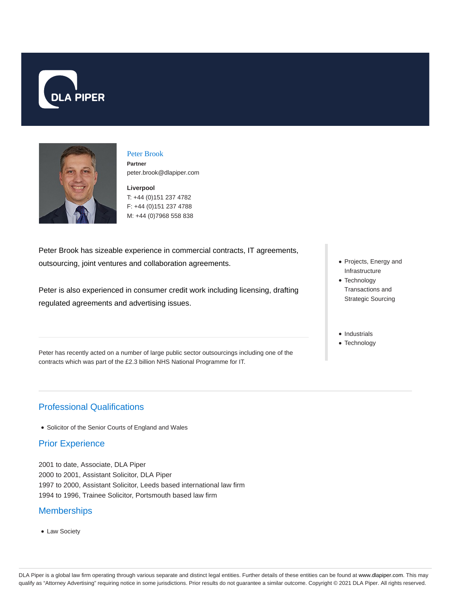



#### Peter Brook **Partner** peter.brook@dlapiper.com

**Liverpool** T: +44 (0)151 237 4782 F: +44 (0)151 237 4788

M: +44 (0)7968 558 838

Peter Brook has sizeable experience in commercial contracts, IT agreements, outsourcing, joint ventures and collaboration agreements.

Peter is also experienced in consumer credit work including licensing, drafting regulated agreements and advertising issues.

Peter has recently acted on a number of large public sector outsourcings including one of the contracts which was part of the £2.3 billion NHS National Programme for IT.

- Projects, Energy and Infrastructure
- Technology Transactions and Strategic Sourcing
- Industrials
- Technology

# Professional Qualifications

• Solicitor of the Senior Courts of England and Wales

### Prior Experience

2001 to date, Associate, DLA Piper 2000 to 2001, Assistant Solicitor, DLA Piper 1997 to 2000, Assistant Solicitor, Leeds based international law firm 1994 to 1996, Trainee Solicitor, Portsmouth based law firm

### **Memberships**

Law Society